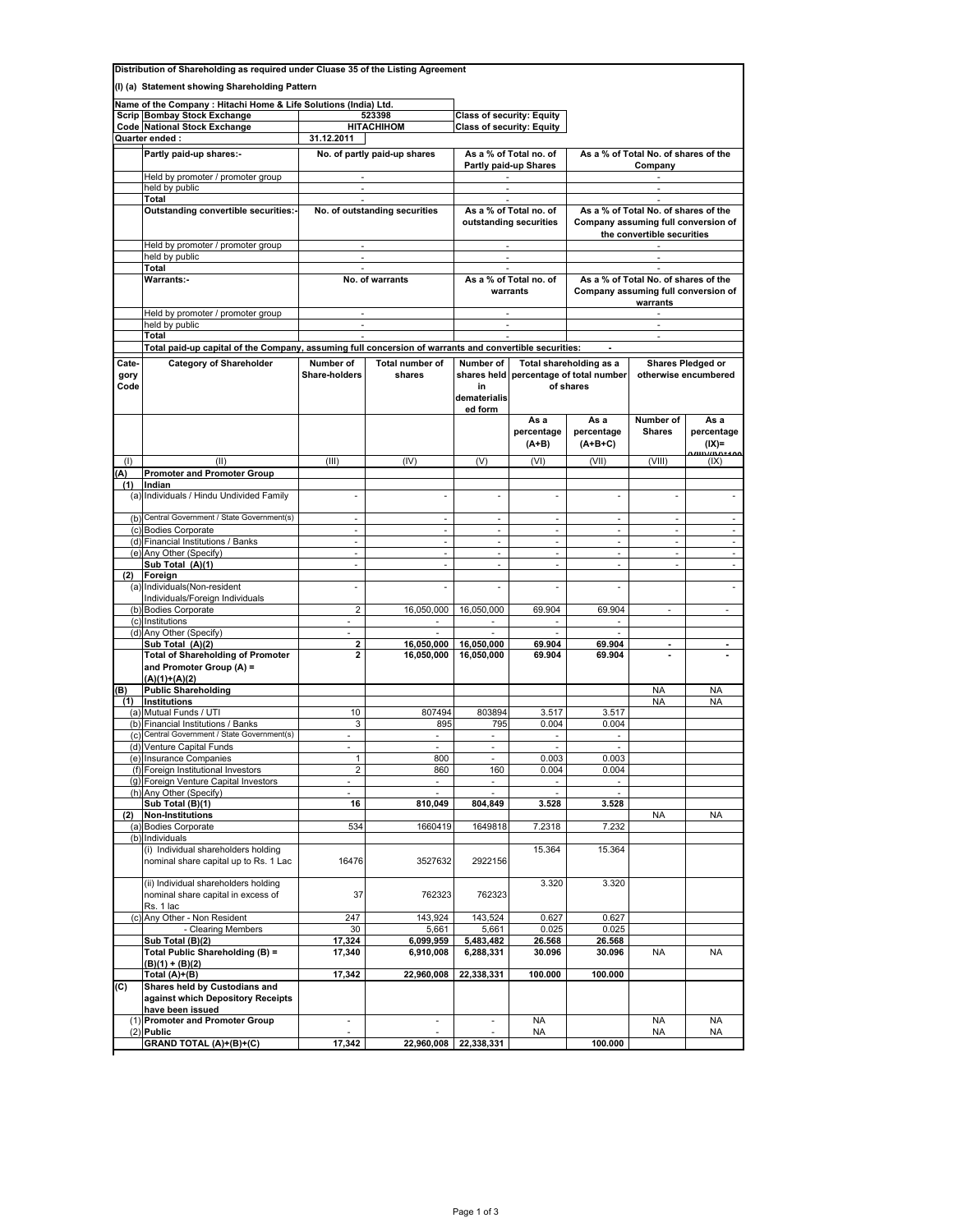|              | Distribution of Shareholding as required under Cluase 35 of the Listing Agreement |                                                                                                                                       |                                |                                    |                                    |                                                     |                                      |                                    |  |  |
|--------------|-----------------------------------------------------------------------------------|---------------------------------------------------------------------------------------------------------------------------------------|--------------------------------|------------------------------------|------------------------------------|-----------------------------------------------------|--------------------------------------|------------------------------------|--|--|
|              | (I) (a) Statement showing Shareholding Pattern                                    |                                                                                                                                       |                                |                                    |                                    |                                                     |                                      |                                    |  |  |
|              | Name of the Company: Hitachi Home & Life Solutions (India) Ltd.                   |                                                                                                                                       |                                |                                    |                                    |                                                     |                                      |                                    |  |  |
|              | Scrip Bombay Stock Exchange                                                       |                                                                                                                                       | 523398                         |                                    | <b>Class of security: Equity</b>   |                                                     |                                      |                                    |  |  |
|              | Code National Stock Exchange                                                      |                                                                                                                                       | <b>HITACHIHOM</b>              |                                    | <b>Class of security: Equity</b>   |                                                     |                                      |                                    |  |  |
|              | Quarter ended :                                                                   | 31.12.2011                                                                                                                            |                                |                                    |                                    |                                                     |                                      |                                    |  |  |
|              | Partly paid-up shares:-                                                           |                                                                                                                                       | No. of partly paid-up shares   |                                    | As a % of Total no. of             |                                                     | As a % of Total No. of shares of the |                                    |  |  |
|              |                                                                                   |                                                                                                                                       |                                |                                    | Partly paid-up Shares              |                                                     | Company                              |                                    |  |  |
|              | Held by promoter / promoter group<br>held by public                               | ×.<br>÷                                                                                                                               |                                |                                    |                                    |                                                     |                                      |                                    |  |  |
|              | Total                                                                             | ×.                                                                                                                                    |                                | As a % of Total no. of             |                                    |                                                     |                                      |                                    |  |  |
|              | Outstanding convertible securities:-                                              |                                                                                                                                       | No. of outstanding securities  |                                    |                                    | As a % of Total No. of shares of the                |                                      |                                    |  |  |
|              |                                                                                   |                                                                                                                                       |                                |                                    | outstanding securities             |                                                     | Company assuming full conversion of  |                                    |  |  |
|              |                                                                                   |                                                                                                                                       |                                |                                    |                                    |                                                     | the convertible securities           |                                    |  |  |
|              | Held by promoter / promoter group<br>held by public                               | ×.                                                                                                                                    |                                |                                    | $\sim$<br>$\overline{\phantom{a}}$ | $\sim$<br>$\sim$                                    |                                      |                                    |  |  |
|              | Total                                                                             | $\overline{\phantom{a}}$                                                                                                              |                                |                                    | $\mathcal{L}_{\mathcal{A}}$        |                                                     |                                      |                                    |  |  |
|              | <b>Warrants:-</b>                                                                 |                                                                                                                                       | No. of warrants                | As a % of Total no. of             |                                    | As a % of Total No. of shares of the                |                                      |                                    |  |  |
|              |                                                                                   |                                                                                                                                       |                                |                                    | warrants                           |                                                     | Company assuming full conversion of  |                                    |  |  |
|              | Held by promoter / promoter group                                                 | ÷                                                                                                                                     |                                |                                    |                                    |                                                     | warrants<br>$\sim$                   |                                    |  |  |
|              | held by public                                                                    |                                                                                                                                       |                                |                                    |                                    |                                                     |                                      |                                    |  |  |
|              | Total                                                                             | $\mathcal{L}_{\mathcal{A}}$<br>Total paid-up capital of the Company, assuming full concersion of warrants and convertible securities: |                                | ÷.                                 |                                    | $\sim$                                              |                                      |                                    |  |  |
|              |                                                                                   |                                                                                                                                       |                                |                                    |                                    |                                                     |                                      |                                    |  |  |
| Cate-        | <b>Category of Shareholder</b>                                                    | Number of                                                                                                                             | Total number of                | Number of                          |                                    | Total shareholding as a                             |                                      | <b>Shares Pledged or</b>           |  |  |
| gory<br>Code |                                                                                   | Share-holders<br>shares                                                                                                               |                                | in<br>dematerialis                 |                                    | shares held percentage of total number<br>of shares | otherwise encumbered                 |                                    |  |  |
|              |                                                                                   |                                                                                                                                       |                                | ed form                            |                                    |                                                     |                                      |                                    |  |  |
|              |                                                                                   |                                                                                                                                       |                                |                                    | As a<br>percentage<br>$(A+B)$      | As a<br>percentage<br>$(A+B+C)$                     | Number of<br><b>Shares</b>           | As a<br>percentage<br>$(IX)$ =     |  |  |
| (1)          | (II)                                                                              | (III)                                                                                                                                 | (IV)                           | (V)                                | (VI)                               | (VII)                                               | (VIII)                               | $\frac{1}{2}$<br><b>nn</b><br>(IX) |  |  |
| A)           | <b>Promoter and Promoter Group</b>                                                |                                                                                                                                       |                                |                                    |                                    |                                                     |                                      |                                    |  |  |
| (1)          | Indian                                                                            |                                                                                                                                       |                                |                                    |                                    |                                                     |                                      |                                    |  |  |
|              | (a) Individuals / Hindu Undivided Family                                          |                                                                                                                                       |                                |                                    |                                    | ÷,                                                  |                                      |                                    |  |  |
|              | (b) Central Government / State Government(s)                                      | ÷                                                                                                                                     | ÷.                             | $\mathcal{L}_{\mathcal{A}}$        | ÷                                  | $\mathcal{L}_{\mathcal{A}}$                         | ÷                                    |                                    |  |  |
|              | (c) Bodies Corporate<br>(d) Financial Institutions / Banks                        | $\omega$                                                                                                                              | $\overline{\phantom{a}}$<br>÷. | $\overline{\phantom{a}}$<br>$\sim$ | ä,<br>$\mathcal{L}$                | $\overline{\phantom{a}}$<br>÷.                      | $\overline{\phantom{a}}$<br>$\sim$   | $\mathcal{L}$                      |  |  |
|              | (e) Any Other (Specify)                                                           | ÷.                                                                                                                                    | ÷.                             | ÷.                                 | $\mathcal{L}_{\mathcal{A}}$        | ÷.                                                  | $\omega$                             | ÷.                                 |  |  |
|              | Sub Total (A)(1)                                                                  | ÷,                                                                                                                                    | ×.                             | $\overline{\phantom{a}}$           | ä,                                 | $\overline{\phantom{a}}$                            | ä,                                   | ä,                                 |  |  |
| (2)          | Foreign                                                                           |                                                                                                                                       |                                |                                    |                                    |                                                     |                                      |                                    |  |  |
|              | (a) Individuals (Non-resident                                                     | ÷,                                                                                                                                    | $\overline{\phantom{a}}$       | ÷,                                 | ä,                                 | ÷,                                                  |                                      | $\overline{\phantom{a}}$           |  |  |
|              | Individuals/Foreign Individuals<br>(b) Bodies Corporate                           | $\overline{2}$                                                                                                                        | 16,050,000                     | 16,050,000                         | 69.904                             | 69.904                                              | $\overline{\phantom{a}}$             | $\overline{\phantom{a}}$           |  |  |
|              | (c) Institutions                                                                  | ä,                                                                                                                                    | $\sim$                         | $\sim$                             | $\overline{\phantom{a}}$           | $\mathcal{L}_{\mathcal{A}}$                         |                                      |                                    |  |  |
|              | (d) Any Other (Specify)                                                           | $\sim$                                                                                                                                | $\sim$                         | $\sim$                             | $\overline{\phantom{a}}$           | ×.                                                  |                                      |                                    |  |  |
|              | Sub Total (A)(2)<br><b>Total of Shareholding of Promoter</b>                      | 2<br>2                                                                                                                                | 16,050,000<br>16,050,000       | 16,050,000<br>16,050,000           | 69.904<br>69.904                   | 69.904<br>69.904                                    | $\blacksquare$                       |                                    |  |  |
|              | and Promoter Group (A) =<br>$(A)(1)+(A)(2)$                                       |                                                                                                                                       |                                |                                    |                                    |                                                     |                                      |                                    |  |  |
| (B)          | <b>Public Shareholding</b>                                                        |                                                                                                                                       |                                |                                    |                                    |                                                     | NA                                   | <b>NA</b>                          |  |  |
| (1)          | Institutions                                                                      |                                                                                                                                       |                                |                                    |                                    |                                                     | <b>NA</b>                            | <b>NA</b>                          |  |  |
|              | (a) Mutual Funds / UTI<br>(b) Financial Institutions / Banks                      | 10 <sup>°</sup><br>3                                                                                                                  | 807494<br>895                  | 803894<br>795                      | 3.517<br>0.004                     | 3.517<br>0.004                                      |                                      |                                    |  |  |
|              | (c) Central Government / State Government(s)                                      | $\sim$                                                                                                                                | $\mathcal{L}_{\mathcal{A}}$    | $\overline{\phantom{a}}$           | $\overline{\phantom{a}}$           | $\overline{\phantom{a}}$                            |                                      |                                    |  |  |
|              | (d) Venture Capital Funds                                                         | ×.                                                                                                                                    | $\overline{\phantom{a}}$       | $\overline{\phantom{a}}$           | $\overline{\phantom{a}}$           | ×.                                                  |                                      |                                    |  |  |
|              | (e) Insurance Companies                                                           |                                                                                                                                       | 800                            |                                    | 0.003                              | 0.003                                               |                                      |                                    |  |  |
|              | (f) Foreign Institutional Investors<br>(g) Foreign Venture Capital Investors      | $\overline{2}$                                                                                                                        | 860<br>÷                       | 160                                | 0.004                              | 0.004                                               |                                      |                                    |  |  |
|              | (h) Any Other (Specify)                                                           | ٠                                                                                                                                     | $\sim$                         | $\overline{\phantom{a}}$           | $\overline{\phantom{a}}$           | $\overline{\phantom{a}}$                            |                                      |                                    |  |  |
|              | Sub Total (B)(1)                                                                  | 16                                                                                                                                    | 810,049                        | 804,849                            | 3.528                              | 3.528                                               |                                      |                                    |  |  |
| (2)          | <b>Non-Institutions</b>                                                           |                                                                                                                                       |                                |                                    |                                    |                                                     | <b>NA</b>                            | <b>NA</b>                          |  |  |
|              | (a) Bodies Corporate<br>(b) Individuals                                           | 534                                                                                                                                   | 1660419                        | 1649818                            | 7.2318                             | 7.232                                               |                                      |                                    |  |  |
|              | (i) Individual shareholders holding<br>nominal share capital up to Rs. 1 Lac      | 16476                                                                                                                                 | 3527632                        | 2922156                            | 15.364                             | 15.364                                              |                                      |                                    |  |  |
|              | (ii) Individual shareholders holding                                              |                                                                                                                                       |                                |                                    | 3.320                              | 3.320                                               |                                      |                                    |  |  |
|              | nominal share capital in excess of                                                | 37                                                                                                                                    | 762323                         | 762323                             |                                    |                                                     |                                      |                                    |  |  |
|              |                                                                                   |                                                                                                                                       |                                | 143,524                            | 0.627                              | 0.627                                               |                                      |                                    |  |  |
|              | Rs. 1 lac<br>(c) Any Other - Non Resident                                         | 247                                                                                                                                   | 143,924                        |                                    |                                    |                                                     |                                      |                                    |  |  |
|              | - Clearing Members                                                                | 30                                                                                                                                    | 5,661                          | 5,661                              | 0.025                              | 0.025                                               |                                      |                                    |  |  |
|              | Sub Total (B)(2)                                                                  | 17,324                                                                                                                                | 6,099,959                      | 5,483,482                          | 26.568                             | 26.568                                              |                                      |                                    |  |  |
|              | Total Public Shareholding (B) =                                                   | 17,340                                                                                                                                | 6,910,008                      | 6,288,331                          | 30.096                             | 30.096                                              | NA                                   | NA                                 |  |  |
|              | $(B)(1) + (B)(2)$<br>Total (A)+(B)                                                | 17,342                                                                                                                                | 22,960,008                     | 22,338,331                         | 100.000                            | 100.000                                             |                                      |                                    |  |  |
| (C)          | Shares held by Custodians and                                                     |                                                                                                                                       |                                |                                    |                                    |                                                     |                                      |                                    |  |  |
|              | against which Depository Receipts<br>have been issued                             |                                                                                                                                       |                                |                                    |                                    |                                                     |                                      |                                    |  |  |
|              | (1) Promoter and Promoter Group<br>$(2)$ Public                                   | $\overline{\phantom{a}}$                                                                                                              | $\overline{\phantom{a}}$       | $\overline{\phantom{a}}$           | <b>NA</b><br>NA                    |                                                     | NA<br>NA                             | <b>NA</b><br>NA                    |  |  |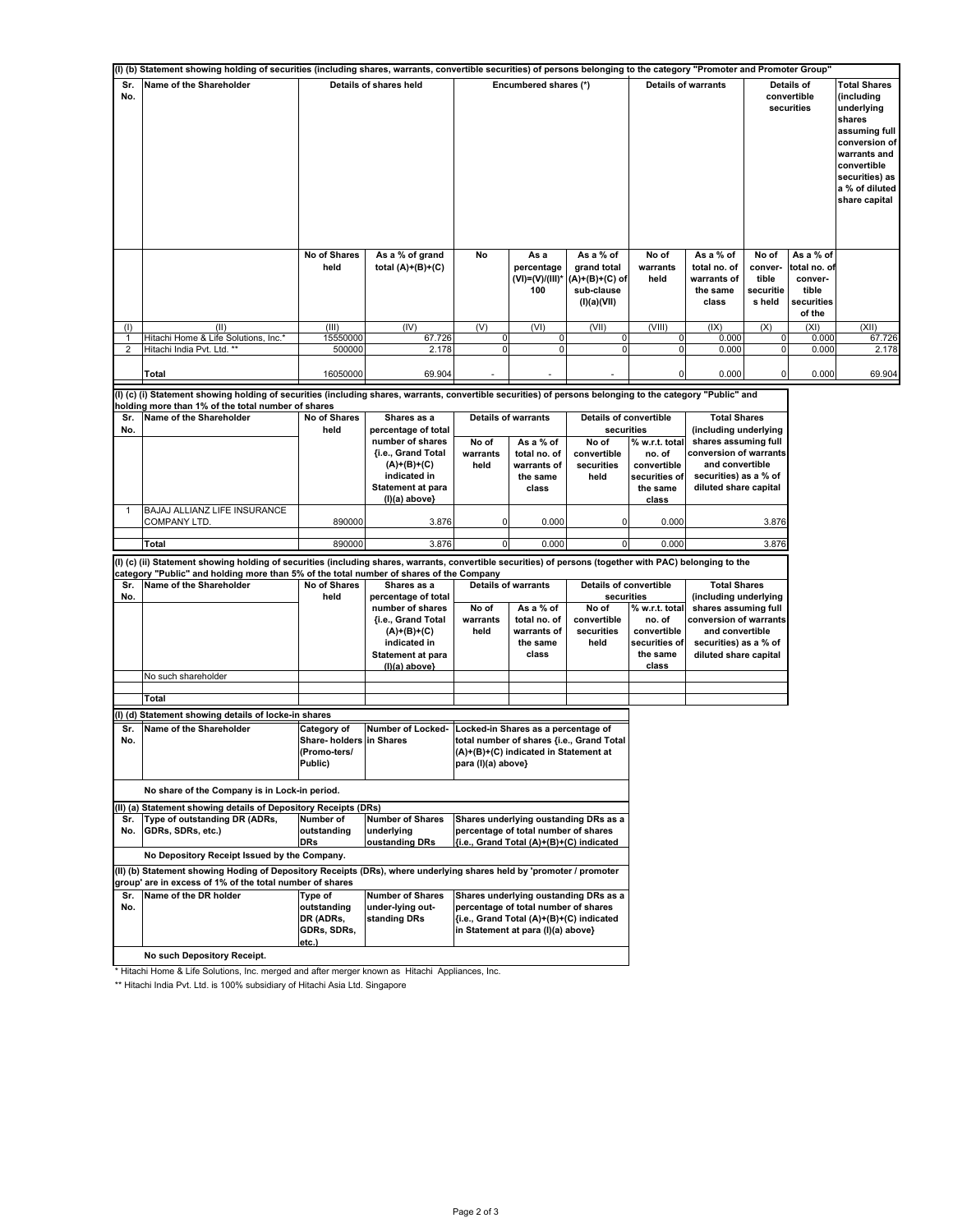|                                | (I) (b) Statement showing holding of securities (including shares, warrants, convertible securities) of persons belonging to the category "Promoter and Promoter Group" |                                                                    |                                                                                                                                    |                                                                                                                                                 |                                                                                                                        |                                                                                           |                                                                               |                                                                                                                                                                     |                                                  |                                                                       |                                                                                                                                                                                 |
|--------------------------------|-------------------------------------------------------------------------------------------------------------------------------------------------------------------------|--------------------------------------------------------------------|------------------------------------------------------------------------------------------------------------------------------------|-------------------------------------------------------------------------------------------------------------------------------------------------|------------------------------------------------------------------------------------------------------------------------|-------------------------------------------------------------------------------------------|-------------------------------------------------------------------------------|---------------------------------------------------------------------------------------------------------------------------------------------------------------------|--------------------------------------------------|-----------------------------------------------------------------------|---------------------------------------------------------------------------------------------------------------------------------------------------------------------------------|
| Sr.<br>No.                     | Name of the Shareholder                                                                                                                                                 |                                                                    | Details of shares held                                                                                                             |                                                                                                                                                 | Encumbered shares (*)                                                                                                  |                                                                                           | <b>Details of warrants</b>                                                    |                                                                                                                                                                     |                                                  | Details of<br>convertible<br>securities                               | <b>Total Shares</b><br>(including<br>underlying<br>shares<br>assuming full<br>conversion of<br>warrants and<br>convertible<br>securities) as<br>a % of diluted<br>share capital |
|                                |                                                                                                                                                                         | No of Shares<br>held                                               | As a % of grand<br>total $(A)+(B)+(C)$                                                                                             | No                                                                                                                                              | As a<br>percentage<br>(VI)=(V)/(III)*<br>100                                                                           | As a % of<br>grand total<br>(A)+(B)+(C) of<br>sub-clause<br>(I)(a)(VII)                   | No of<br>warrants<br>held                                                     | As a % of<br>total no. of<br>warrants of<br>the same<br>class                                                                                                       | No of<br>conver-<br>tible<br>securitie<br>s held | As a % of<br>total no. of<br>conver-<br>tible<br>securities<br>of the |                                                                                                                                                                                 |
| (1)                            | (II)                                                                                                                                                                    | (III)                                                              | (IV)                                                                                                                               | (V)                                                                                                                                             | (VI)                                                                                                                   | (VII)                                                                                     | (VIII)                                                                        | (IX)                                                                                                                                                                | (X)                                              | (XI)                                                                  | (XII)                                                                                                                                                                           |
| $\mathbf{1}$<br>$\overline{2}$ | Hitachi Home & Life Solutions, Inc.*<br>Hitachi India Pvt. Ltd. **                                                                                                      | 15550000<br>500000                                                 | 67.726<br>2.178                                                                                                                    | $\mathsf{O}\xspace$<br>$\mathbf 0$                                                                                                              | 0<br>0                                                                                                                 | $\mathbf 0$<br>$\Omega$                                                                   | $\mathbf 0$<br>$\mathbf 0$                                                    | 0.000<br>0.000                                                                                                                                                      | $\mathbf 0$<br>$\mathbf 0$                       | 0.000<br>0.000                                                        | 67.726<br>2.178                                                                                                                                                                 |
|                                |                                                                                                                                                                         |                                                                    |                                                                                                                                    |                                                                                                                                                 |                                                                                                                        |                                                                                           |                                                                               |                                                                                                                                                                     |                                                  |                                                                       |                                                                                                                                                                                 |
|                                | Total                                                                                                                                                                   | 16050000                                                           | 69.904                                                                                                                             |                                                                                                                                                 |                                                                                                                        |                                                                                           | 0                                                                             | 0.000                                                                                                                                                               | $\mathbf 0$                                      | 0.000                                                                 | 69.904                                                                                                                                                                          |
|                                | (I) (c) (i) Statement showing holding of securities (including shares, warrants, convertible securities) of persons belonging to the category "Public" and              |                                                                    |                                                                                                                                    |                                                                                                                                                 |                                                                                                                        |                                                                                           |                                                                               |                                                                                                                                                                     |                                                  |                                                                       |                                                                                                                                                                                 |
| Sr.<br>No.                     | holding more than 1% of the total number of shares<br>Name of the Shareholder                                                                                           | No of Shares<br>held                                               | Shares as a<br>percentage of total<br>number of shares<br>{i.e., Grand Total<br>$(A)+(B)+(C)$<br>indicated in<br>Statement at para | No of<br>warrants<br>held                                                                                                                       | <b>Details of warrants</b><br>As a % of<br>total no. of<br>warrants of<br>the same<br>class                            | <b>Details of convertible</b><br>securities<br>No of<br>convertible<br>securities<br>held | % w.r.t. total<br>no. of<br>convertible<br>securities of<br>the same          | <b>Total Shares</b><br>(including underlying<br>shares assuming full<br>conversion of warrants<br>and convertible<br>securities) as a % of<br>diluted share capital |                                                  |                                                                       |                                                                                                                                                                                 |
| 1                              | BAJAJ ALLIANZ LIFE INSURANCE                                                                                                                                            |                                                                    | $(I)(a)$ above}                                                                                                                    |                                                                                                                                                 |                                                                                                                        |                                                                                           | class                                                                         |                                                                                                                                                                     |                                                  |                                                                       |                                                                                                                                                                                 |
|                                | COMPANY LTD.                                                                                                                                                            | 890000                                                             | 3.876                                                                                                                              | 0                                                                                                                                               | 0.000                                                                                                                  | 0                                                                                         | 0.000                                                                         |                                                                                                                                                                     | 3.876                                            |                                                                       |                                                                                                                                                                                 |
|                                | Total                                                                                                                                                                   | 890000                                                             | 3.876                                                                                                                              | $\mathbf 0$                                                                                                                                     | 0.000                                                                                                                  | $\overline{0}$                                                                            | 0.000                                                                         |                                                                                                                                                                     | 3.876                                            |                                                                       |                                                                                                                                                                                 |
|                                | (I) (c) (ii) Statement showing holding of securities (including shares, warrants, convertible securities) of persons (together with PAC) belonging to the               |                                                                    |                                                                                                                                    |                                                                                                                                                 |                                                                                                                        |                                                                                           |                                                                               |                                                                                                                                                                     |                                                  |                                                                       |                                                                                                                                                                                 |
|                                | category "Public" and holding more than 5% of the total number of shares of the Company                                                                                 |                                                                    |                                                                                                                                    |                                                                                                                                                 |                                                                                                                        |                                                                                           |                                                                               |                                                                                                                                                                     |                                                  |                                                                       |                                                                                                                                                                                 |
| Sr.<br>No.                     | Name of the Shareholder                                                                                                                                                 | No of Shares<br>held                                               | Shares as a<br>percentage of total                                                                                                 |                                                                                                                                                 | <b>Details of warrants</b>                                                                                             | <b>Details of convertible</b><br>securities                                               |                                                                               | <b>Total Shares</b><br>(including underlying                                                                                                                        |                                                  |                                                                       |                                                                                                                                                                                 |
|                                |                                                                                                                                                                         |                                                                    | number of shares<br>{i.e., Grand Total<br>$(A)+(B)+(C)$<br>indicated in<br>Statement at para<br>(I)(a) above}                      | No of<br>warrants<br>held                                                                                                                       | As a % of<br>total no. of<br>warrants of<br>the same<br>class                                                          | No of<br>convertible<br>securities<br>held                                                | % w.r.t. total<br>no. of<br>convertible<br>securities of<br>the same<br>class | shares assuming full<br>conversion of warrants<br>and convertible<br>securities) as a % of<br>diluted share capital                                                 |                                                  |                                                                       |                                                                                                                                                                                 |
|                                | No such shareholder                                                                                                                                                     |                                                                    |                                                                                                                                    |                                                                                                                                                 |                                                                                                                        |                                                                                           |                                                                               |                                                                                                                                                                     |                                                  |                                                                       |                                                                                                                                                                                 |
|                                | Total                                                                                                                                                                   |                                                                    |                                                                                                                                    |                                                                                                                                                 |                                                                                                                        |                                                                                           |                                                                               |                                                                                                                                                                     |                                                  |                                                                       |                                                                                                                                                                                 |
|                                | (I) (d) Statement showing details of locke-in shares                                                                                                                    |                                                                    |                                                                                                                                    |                                                                                                                                                 |                                                                                                                        |                                                                                           |                                                                               |                                                                                                                                                                     |                                                  |                                                                       |                                                                                                                                                                                 |
| Sr.<br>No.                     | Name of the Shareholder                                                                                                                                                 | Category of<br>Share- holders in Shares<br>(Promo-ters/<br>Public) | Number of Locked-                                                                                                                  | Locked-in Shares as a percentage of<br>total number of shares {i.e., Grand Total<br>(A)+(B)+(C) indicated in Statement at<br>para (I)(a) above} |                                                                                                                        |                                                                                           |                                                                               |                                                                                                                                                                     |                                                  |                                                                       |                                                                                                                                                                                 |
|                                | No share of the Company is in Lock-in period.                                                                                                                           |                                                                    |                                                                                                                                    |                                                                                                                                                 |                                                                                                                        |                                                                                           |                                                                               |                                                                                                                                                                     |                                                  |                                                                       |                                                                                                                                                                                 |
|                                | (II) (a) Statement showing details of Depository Receipts (DRs)                                                                                                         |                                                                    |                                                                                                                                    |                                                                                                                                                 |                                                                                                                        |                                                                                           |                                                                               |                                                                                                                                                                     |                                                  |                                                                       |                                                                                                                                                                                 |
| Sr.<br>No.                     | Type of outstanding DR (ADRs,<br>GDRs, SDRs, etc.)                                                                                                                      | Number of<br>outstanding<br><b>DRs</b>                             | <b>Number of Shares</b><br>underlying<br>oustanding DRs                                                                            |                                                                                                                                                 | percentage of total number of shares<br>{i.e., Grand Total (A)+(B)+(C) indicated                                       | Shares underlying oustanding DRs as a                                                     |                                                                               |                                                                                                                                                                     |                                                  |                                                                       |                                                                                                                                                                                 |
|                                | No Depository Receipt Issued by the Company.                                                                                                                            |                                                                    |                                                                                                                                    |                                                                                                                                                 |                                                                                                                        |                                                                                           |                                                                               |                                                                                                                                                                     |                                                  |                                                                       |                                                                                                                                                                                 |
|                                | (II) (b) Statement showing Hoding of Depository Receipts (DRs), where underlying shares held by 'promoter / promoter                                                    |                                                                    |                                                                                                                                    |                                                                                                                                                 |                                                                                                                        |                                                                                           |                                                                               |                                                                                                                                                                     |                                                  |                                                                       |                                                                                                                                                                                 |
| Sr.<br>No.                     | group' are in excess of 1% of the total number of shares<br>Name of the DR holder                                                                                       | Type of<br>outstanding<br>DR (ADRs,<br>GDRs, SDRs,<br>etc.)        | <b>Number of Shares</b><br>under-lying out-<br>standing DRs                                                                        |                                                                                                                                                 | percentage of total number of shares<br>{i.e., Grand Total (A)+(B)+(C) indicated<br>in Statement at para (I)(a) above} | Shares underlying oustanding DRs as a                                                     |                                                                               |                                                                                                                                                                     |                                                  |                                                                       |                                                                                                                                                                                 |
|                                | No such Depository Receipt.                                                                                                                                             |                                                                    |                                                                                                                                    |                                                                                                                                                 |                                                                                                                        |                                                                                           |                                                                               |                                                                                                                                                                     |                                                  |                                                                       |                                                                                                                                                                                 |

\* Hitachi Home & Life Solutions, Inc. merged and after merger known as Hitachi Appliances, Inc.

\*\* Hitachi India Pvt. Ltd. is 100% subsidiary of Hitachi Asia Ltd. Singapore